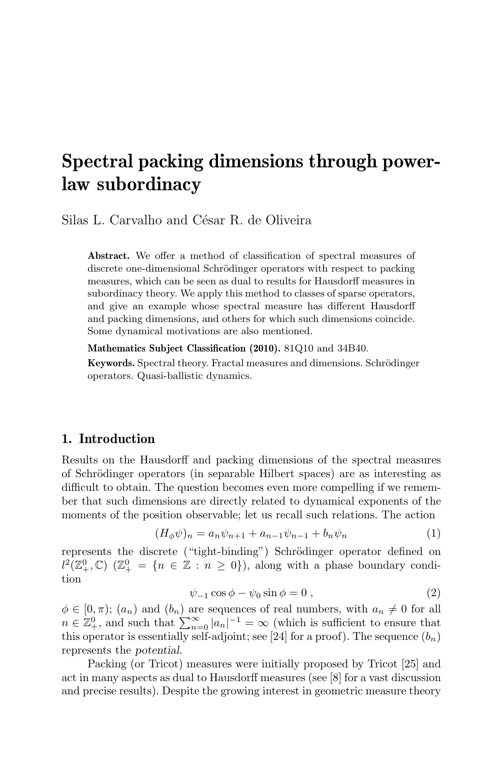# Spectral packing dimensions through powerlaw subordinacy

Silas L. Carvalho and César R. de Oliveira

Abstract. We offer a method of classification of spectral measures of discrete one-dimensional Schrödinger operators with respect to packing measures, which can be seen as dual to results for Hausdorff measures in subordinacy theory. We apply this method to classes of sparse operators, and give an example whose spectral measure has different Hausdorff and packing dimensions, and others for which such dimensions coincide. Some dynamical motivations are also mentioned.

Mathematics Subject Classification (2010). 81Q10 and 34B40.

Keywords. Spectral theory. Fractal measures and dimensions. Schrödinger operators. Quasi-ballistic dynamics.

### 1. Introduction

Results on the Hausdorff and packing dimensions of the spectral measures of Schrödinger operators (in separable Hilbert spaces) are as interesting as difficult to obtain. The question becomes even more compelling if we remember that such dimensions are directly related to dynamical exponents of the moments of the position observable; let us recall such relations. The action

$$
(H_{\phi}\psi)_n = a_n \psi_{n+1} + a_{n-1} \psi_{n-1} + b_n \psi_n \tag{1}
$$

represents the discrete ("tight-binding") Schrödinger operator defined on  $l^2(\mathbb{Z}^0_+,\mathbb{C})$   $(\mathbb{Z}^0_+ = \{n \in \mathbb{Z} : n \geq 0\}),$  along with a phase boundary condition

$$
\psi_{-1}\cos\phi - \psi_0\sin\phi = 0 , \qquad (2)
$$

 $\phi \in [0, \pi); (a_n)$  and  $(b_n)$  are sequences of real numbers, with  $a_n \neq 0$  for all  $n \in \mathbb{Z}_+^0$ , and such that  $\sum_{n=0}^{\infty} |a_n|^{-1} = \infty$  (which is sufficient to ensure that this operator is essentially self-adjoint; see [24] for a proof). The sequence  $(b_n)$ represents the potential.

Packing (or Tricot) measures were initially proposed by Tricot [25] and act in many aspects as dual to Hausdorff measures (see [8] for a vast discussion and precise results). Despite the growing interest in geometric measure theory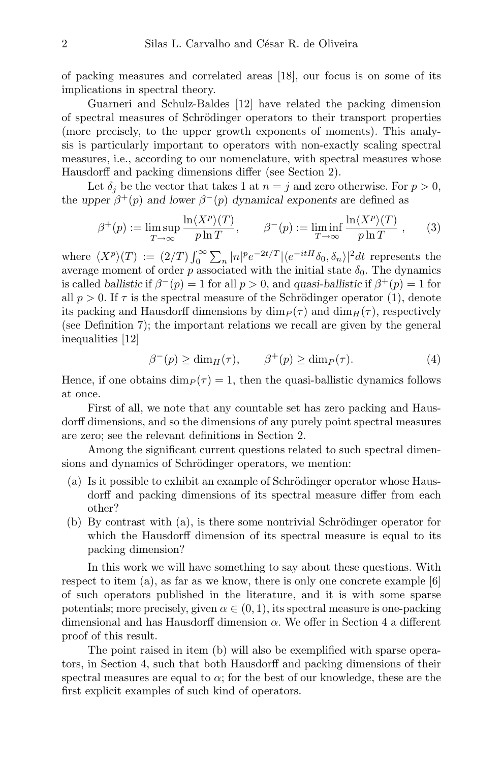of packing measures and correlated areas [18], our focus is on some of its implications in spectral theory.

Guarneri and Schulz-Baldes [12] have related the packing dimension of spectral measures of Schrödinger operators to their transport properties (more precisely, to the upper growth exponents of moments). This analysis is particularly important to operators with non-exactly scaling spectral measures, i.e., according to our nomenclature, with spectral measures whose Hausdorff and packing dimensions differ (see Section 2).

Let  $\delta_i$  be the vector that takes 1 at  $n = j$  and zero otherwise. For  $p > 0$ , the upper  $\beta^+(p)$  and lower  $\beta^-(p)$  dynamical exponents are defined as

$$
\beta^+(p) := \limsup_{T \to \infty} \frac{\ln \langle X^p \rangle(T)}{p \ln T}, \qquad \beta^-(p) := \liminf_{T \to \infty} \frac{\ln \langle X^p \rangle(T)}{p \ln T}, \qquad (3)
$$

where  $\langle X^p \rangle(T) := (2/T) \int_0^\infty \sum_n |n|^p e^{-2t/T} |\langle e^{-itH} \delta_0, \delta_n \rangle|^2 dt$  represents the average moment of order p associated with the initial state  $\delta_0$ . The dynamics is called ballistic if  $\beta^-(p) = 1$  for all  $p > 0$ , and quasi-ballistic if  $\beta^+(p) = 1$  for all  $p > 0$ . If  $\tau$  is the spectral measure of the Schrödinger operator (1), denote its packing and Hausdorff dimensions by  $\dim_P(\tau)$  and  $\dim_H(\tau)$ , respectively (see Definition 7); the important relations we recall are given by the general inequalities [12]

$$
\beta^-(p) \ge \dim_H(\tau), \qquad \beta^+(p) \ge \dim_P(\tau). \tag{4}
$$

Hence, if one obtains  $\dim_P (\tau) = 1$ , then the quasi-ballistic dynamics follows at once.

First of all, we note that any countable set has zero packing and Hausdorff dimensions, and so the dimensions of any purely point spectral measures are zero; see the relevant definitions in Section 2.

Among the significant current questions related to such spectral dimensions and dynamics of Schrödinger operators, we mention:

- $(a)$  Is it possible to exhibit an example of Schrödinger operator whose Hausdorff and packing dimensions of its spectral measure differ from each other?
- $(b)$  By contrast with  $(a)$ , is there some nontrivial Schrödinger operator for which the Hausdorff dimension of its spectral measure is equal to its packing dimension?

In this work we will have something to say about these questions. With respect to item (a), as far as we know, there is only one concrete example [6] of such operators published in the literature, and it is with some sparse potentials; more precisely, given  $\alpha \in (0,1)$ , its spectral measure is one-packing dimensional and has Hausdorff dimension  $\alpha$ . We offer in Section 4 a different proof of this result.

The point raised in item (b) will also be exemplified with sparse operators, in Section 4, such that both Hausdorff and packing dimensions of their spectral measures are equal to  $\alpha$ ; for the best of our knowledge, these are the first explicit examples of such kind of operators.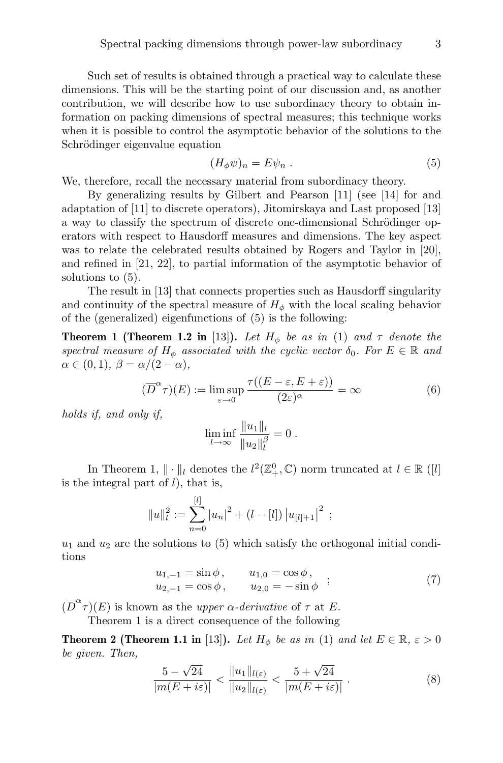Such set of results is obtained through a practical way to calculate these dimensions. This will be the starting point of our discussion and, as another contribution, we will describe how to use subordinacy theory to obtain information on packing dimensions of spectral measures; this technique works when it is possible to control the asymptotic behavior of the solutions to the Schrödinger eigenvalue equation

$$
(H_{\phi}\psi)_n = E\psi_n . \tag{5}
$$

We, therefore, recall the necessary material from subordinacy theory.

By generalizing results by Gilbert and Pearson [11] (see [14] for and adaptation of [11] to discrete operators), Jitomirskaya and Last proposed [13] a way to classify the spectrum of discrete one-dimensional Schrödinger operators with respect to Hausdorff measures and dimensions. The key aspect was to relate the celebrated results obtained by Rogers and Taylor in [20], and refined in [21, 22], to partial information of the asymptotic behavior of solutions to (5).

The result in [13] that connects properties such as Hausdorff singularity and continuity of the spectral measure of  $H_{\phi}$  with the local scaling behavior of the (generalized) eigenfunctions of (5) is the following:

**Theorem 1 (Theorem 1.2 in** [13]). Let  $H_{\phi}$  be as in (1) and  $\tau$  denote the spectral measure of  $H_{\phi}$  associated with the cyclic vector  $\delta_0$ . For  $E \in \mathbb{R}$  and  $\alpha \in (0,1), \ \beta = \alpha/(2-\alpha),$ 

$$
(\overline{D}^{\alpha}\tau)(E) := \limsup_{\varepsilon \to 0} \frac{\tau((E - \varepsilon, E + \varepsilon))}{(2\varepsilon)^{\alpha}} = \infty
$$
 (6)

holds if, and only if,

$$
\liminf_{l \to \infty} \frac{\|u_1\|_l}{\|u_2\|_l^{\beta}} = 0.
$$

In Theorem 1,  $\|\cdot\|_l$  denotes the  $l^2(\mathbb{Z}^0_+,\mathbb{C})$  norm truncated at  $l\in\mathbb{R}$  ([l] is the integral part of  $l$ ), that is,

$$
||u||_l^2 := \sum_{n=0}^{[l]} |u_n|^2 + (l - [l]) |u_{[l]+1}|^2 ;
$$

 $u_1$  and  $u_2$  are the solutions to (5) which satisfy the orthogonal initial conditions

$$
u_{1,-1} = \sin \phi, \qquad u_{1,0} = \cos \phi, u_{2,-1} = \cos \phi, \qquad u_{2,0} = -\sin \phi ; \qquad (7)
$$

 $(\overline{D}^{\alpha} \tau)(E)$  is known as the upper  $\alpha$ -derivative of  $\tau$  at E.

Theorem 1 is a direct consequence of the following

**Theorem 2 (Theorem 1.1 in** [13]). Let  $H_{\phi}$  be as in (1) and let  $E \in \mathbb{R}, \varepsilon > 0$ be given. Then,

$$
\frac{5-\sqrt{24}}{|m(E+i\varepsilon)|} < \frac{\|u_1\|_{l(\varepsilon)}}{\|u_2\|_{l(\varepsilon)}} < \frac{5+\sqrt{24}}{|m(E+i\varepsilon)|}.
$$
 (8)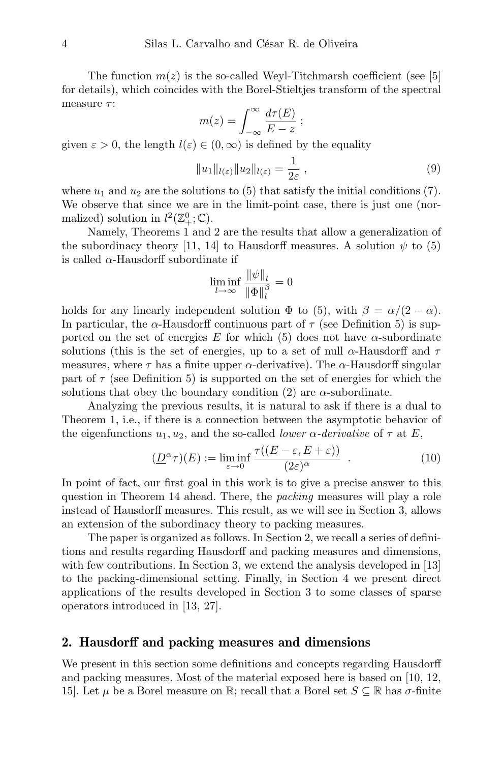The function  $m(z)$  is the so-called Weyl-Titchmarsh coefficient (see [5] for details), which coincides with the Borel-Stieltjes transform of the spectral measure  $\tau$ :

$$
m(z) = \int_{-\infty}^{\infty} \frac{d\tau(E)}{E - z} ;
$$

given  $\varepsilon > 0$ , the length  $l(\varepsilon) \in (0,\infty)$  is defined by the equality

$$
||u_1||_{l(\varepsilon)}||u_2||_{l(\varepsilon)} = \frac{1}{2\varepsilon},
$$
\n(9)

where  $u_1$  and  $u_2$  are the solutions to (5) that satisfy the initial conditions (7). We observe that since we are in the limit-point case, there is just one (normalized) solution in  $l^2(\mathbb{Z}_+^0;\mathbb{C})$ .

Namely, Theorems 1 and 2 are the results that allow a generalization of the subordinacy theory [11, 14] to Hausdorff measures. A solution  $\psi$  to (5) is called  $\alpha$ -Hausdorff subordinate if

$$
\liminf_{l \to \infty} \frac{\|\psi\|_l}{\|\Phi\|_l^{\beta}} = 0
$$

holds for any linearly independent solution  $\Phi$  to (5), with  $\beta = \alpha/(2 - \alpha)$ . In particular, the  $\alpha$ -Hausdorff continuous part of  $\tau$  (see Definition 5) is supported on the set of energies E for which (5) does not have  $\alpha$ -subordinate solutions (this is the set of energies, up to a set of null  $\alpha$ -Hausdorff and  $\tau$ measures, where  $\tau$  has a finite upper  $\alpha$ -derivative). The  $\alpha$ -Hausdorff singular part of  $\tau$  (see Definition 5) is supported on the set of energies for which the solutions that obey the boundary condition (2) are  $\alpha$ -subordinate.

Analyzing the previous results, it is natural to ask if there is a dual to Theorem 1, i.e., if there is a connection between the asymptotic behavior of the eigenfunctions  $u_1, u_2$ , and the so-called *lower*  $\alpha$ -derivative of  $\tau$  at E,

$$
(\underline{D}^{\alpha}\tau)(E) := \liminf_{\varepsilon \to 0} \frac{\tau((E - \varepsilon, E + \varepsilon))}{(2\varepsilon)^{\alpha}} . \tag{10}
$$

In point of fact, our first goal in this work is to give a precise answer to this question in Theorem 14 ahead. There, the packing measures will play a role instead of Hausdorff measures. This result, as we will see in Section 3, allows an extension of the subordinacy theory to packing measures.

The paper is organized as follows. In Section 2, we recall a series of definitions and results regarding Hausdorff and packing measures and dimensions, with few contributions. In Section 3, we extend the analysis developed in [13] to the packing-dimensional setting. Finally, in Section 4 we present direct applications of the results developed in Section 3 to some classes of sparse operators introduced in [13, 27].

#### 2. Hausdorff and packing measures and dimensions

We present in this section some definitions and concepts regarding Hausdorff and packing measures. Most of the material exposed here is based on [10, 12, 15]. Let  $\mu$  be a Borel measure on R; recall that a Borel set  $S \subseteq \mathbb{R}$  has  $\sigma$ -finite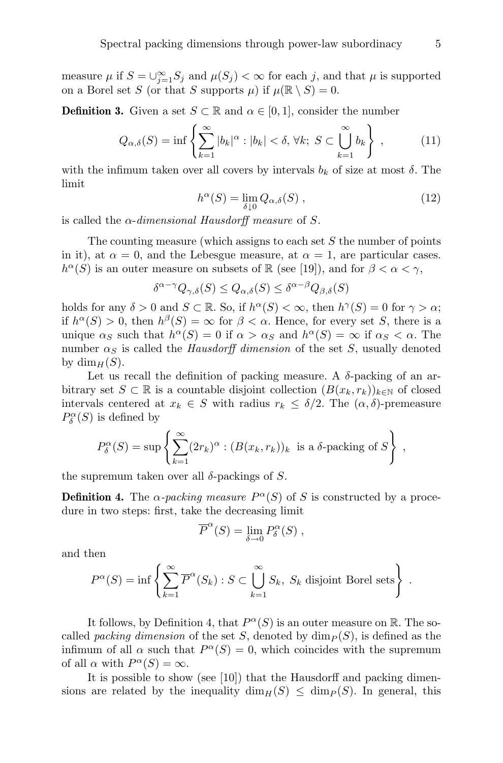measure  $\mu$  if  $S = \bigcup_{j=1}^{\infty} S_j$  and  $\mu(S_j) < \infty$  for each j, and that  $\mu$  is supported on a Borel set S (or that S supports  $\mu$ ) if  $\mu(\mathbb{R} \setminus S) = 0$ .

**Definition 3.** Given a set  $S \subset \mathbb{R}$  and  $\alpha \in [0,1]$ , consider the number

$$
Q_{\alpha,\delta}(S) = \inf \left\{ \sum_{k=1}^{\infty} |b_k|^{\alpha} : |b_k| < \delta, \,\forall k; \, S \subset \bigcup_{k=1}^{\infty} b_k \right\} \,, \tag{11}
$$

with the infimum taken over all covers by intervals  $b_k$  of size at most  $\delta$ . The limit

$$
h^{\alpha}(S) = \lim_{\delta \downarrow 0} Q_{\alpha,\delta}(S) , \qquad (12)
$$

is called the  $\alpha$ -dimensional Hausdorff measure of S.

The counting measure (which assigns to each set  $S$  the number of points in it), at  $\alpha = 0$ , and the Lebesgue measure, at  $\alpha = 1$ , are particular cases.  $h^{\alpha}(S)$  is an outer measure on subsets of  $\mathbb R$  (see [19]), and for  $\beta < \alpha < \gamma$ ,

$$
\delta^{\alpha - \gamma} Q_{\gamma, \delta}(S) \le Q_{\alpha, \delta}(S) \le \delta^{\alpha - \beta} Q_{\beta, \delta}(S)
$$

holds for any  $\delta > 0$  and  $S \subset \mathbb{R}$ . So, if  $h^{\alpha}(S) < \infty$ , then  $h^{\gamma}(S) = 0$  for  $\gamma > \alpha$ ; if  $h^{\alpha}(S) > 0$ , then  $h^{\beta}(S) = \infty$  for  $\beta < \alpha$ . Hence, for every set S, there is a unique  $\alpha_S$  such that  $h^{\alpha}(S) = 0$  if  $\alpha > \alpha_S$  and  $h^{\alpha}(S) = \infty$  if  $\alpha_S < \alpha$ . The number  $\alpha_S$  is called the *Hausdorff dimension* of the set S, usually denoted by  $\dim_H(S)$ .

Let us recall the definition of packing measure. A  $\delta$ -packing of an arbitrary set  $S \subset \mathbb{R}$  is a countable disjoint collection  $(B(x_k, r_k))_{k \in \mathbb{N}}$  of closed intervals centered at  $x_k \in S$  with radius  $r_k \leq \delta/2$ . The  $(\alpha, \delta)$ -premeasure  $P^{\alpha}_{\delta}(S)$  is defined by

$$
P_{\delta}^{\alpha}(S) = \sup \left\{ \sum_{k=1}^{\infty} (2r_k)^{\alpha} : (B(x_k, r_k))_k \text{ is a } \delta \text{-packing of } S \right\},\,
$$

the supremum taken over all  $\delta$ -packings of S.

**Definition 4.** The  $\alpha$ -packing measure  $P^{\alpha}(S)$  of S is constructed by a procedure in two steps: first, take the decreasing limit

$$
\overline{P}^{\alpha}(S) = \lim_{\delta \to 0} P^{\alpha}_{\delta}(S) ,
$$

and then

$$
P^{\alpha}(S) = \inf \left\{ \sum_{k=1}^{\infty} \overline{P}^{\alpha}(S_k) : S \subset \bigcup_{k=1}^{\infty} S_k, S_k \text{ disjoint Borel sets} \right\} .
$$

It follows, by Definition 4, that  $P^{\alpha}(S)$  is an outer measure on R. The socalled *packing dimension* of the set S, denoted by  $\dim_P (S)$ , is defined as the infimum of all  $\alpha$  such that  $P^{\alpha}(S) = 0$ , which coincides with the supremum of all  $\alpha$  with  $P^{\alpha}(S) = \infty$ .

It is possible to show (see [10]) that the Hausdorff and packing dimensions are related by the inequality  $\dim_H(S) \leq \dim_P(S)$ . In general, this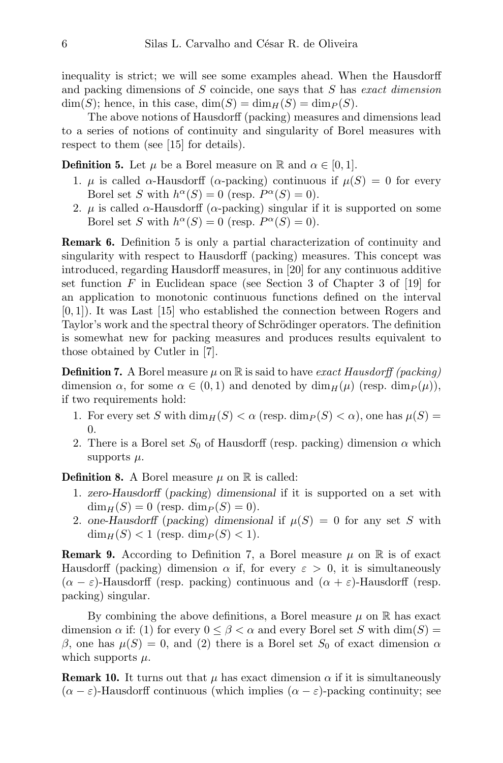inequality is strict; we will see some examples ahead. When the Hausdorff and packing dimensions of S coincide, one says that S has exact dimension  $\dim(S)$ ; hence, in this case,  $\dim(S) = \dim_H(S) = \dim_P(S)$ .

The above notions of Hausdorff (packing) measures and dimensions lead to a series of notions of continuity and singularity of Borel measures with respect to them (see [15] for details).

**Definition 5.** Let  $\mu$  be a Borel measure on R and  $\alpha \in [0, 1]$ .

- 1.  $\mu$  is called  $\alpha$ -Hausdorff ( $\alpha$ -packing) continuous if  $\mu(S) = 0$  for every Borel set S with  $h^{\alpha}(S) = 0$  (resp.  $P^{\alpha}(S) = 0$ ).
- 2.  $\mu$  is called  $\alpha$ -Hausdorff ( $\alpha$ -packing) singular if it is supported on some Borel set S with  $h^{\alpha}(S) = 0$  (resp.  $P^{\alpha}(S) = 0$ ).

Remark 6. Definition 5 is only a partial characterization of continuity and singularity with respect to Hausdorff (packing) measures. This concept was introduced, regarding Hausdorff measures, in [20] for any continuous additive set function  $F$  in Euclidean space (see Section 3 of Chapter 3 of [19] for an application to monotonic continuous functions defined on the interval [0, 1]). It was Last [15] who established the connection between Rogers and Taylor's work and the spectral theory of Schrödinger operators. The definition is somewhat new for packing measures and produces results equivalent to those obtained by Cutler in [7].

**Definition 7.** A Borel measure  $\mu$  on  $\mathbb{R}$  is said to have exact Hausdorff (packing) dimension  $\alpha$ , for some  $\alpha \in (0,1)$  and denoted by  $\dim_H(\mu)$  (resp.  $\dim_P(\mu)$ ), if two requirements hold:

- 1. For every set S with  $\dim_H(S) < \alpha$  (resp.  $\dim_P(S) < \alpha$ ), one has  $\mu(S) =$ 0.
- 2. There is a Borel set  $S_0$  of Hausdorff (resp. packing) dimension  $\alpha$  which supports  $\mu$ .

**Definition 8.** A Borel measure  $\mu$  on  $\mathbb{R}$  is called:

- 1. zero-Hausdorff (packing) dimensional if it is supported on a set with  $\dim_H(S) = 0$  (resp.  $\dim_P(S) = 0$ ).
- 2. one-Hausdorff (packing) dimensional if  $\mu(S) = 0$  for any set S with  $\dim_H(S) < 1$  (resp.  $\dim_P(S) < 1$ ).

**Remark 9.** According to Definition 7, a Borel measure  $\mu$  on  $\mathbb{R}$  is of exact Hausdorff (packing) dimension  $\alpha$  if, for every  $\varepsilon > 0$ , it is simultaneously  $(\alpha - \varepsilon)$ -Hausdorff (resp. packing) continuous and  $(\alpha + \varepsilon)$ -Hausdorff (resp. packing) singular.

By combining the above definitions, a Borel measure  $\mu$  on  $\mathbb R$  has exact dimension  $\alpha$  if: (1) for every  $0 \leq \beta < \alpha$  and every Borel set S with  $\dim(S)$  = β, one has  $\mu(S) = 0$ , and (2) there is a Borel set  $S_0$  of exact dimension  $\alpha$ which supports  $\mu$ .

**Remark 10.** It turns out that  $\mu$  has exact dimension  $\alpha$  if it is simultaneously  $(\alpha - \varepsilon)$ -Hausdorff continuous (which implies  $(\alpha - \varepsilon)$ -packing continuity; see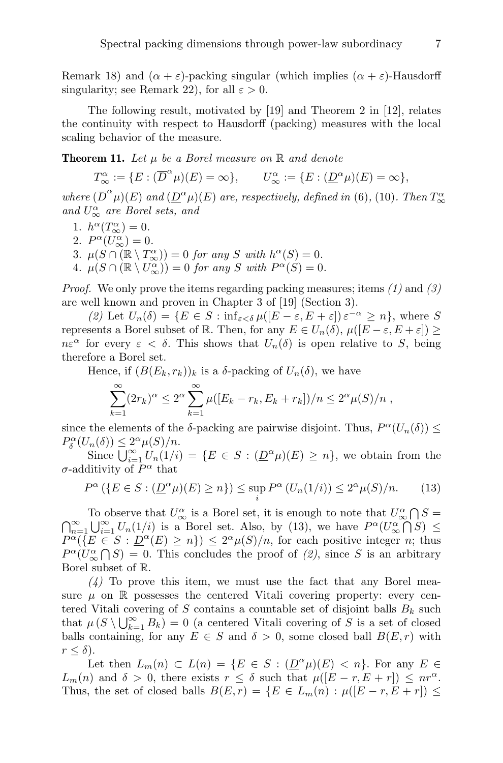Remark 18) and  $(\alpha + \varepsilon)$ -packing singular (which implies  $(\alpha + \varepsilon)$ -Hausdorff singularity; see Remark 22), for all  $\varepsilon > 0$ .

The following result, motivated by [19] and Theorem 2 in [12], relates the continuity with respect to Hausdorff (packing) measures with the local scaling behavior of the measure.

**Theorem 11.** Let  $\mu$  be a Borel measure on  $\mathbb{R}$  and denote

 $T_{\infty}^{\alpha} := \{ E : (\overline{D}^{\alpha} \mu)(E) = \infty \}, \qquad U_{\infty}^{\alpha} := \{ E : (\underline{D}^{\alpha} \mu)(E) = \infty \},$ where  $(\overline{D}^{\alpha}\mu)(E)$  and  $(\underline{D}^{\alpha}\mu)(E)$  are, respectively, defined in (6), (10). Then  $T_{\infty}^{\alpha}$ and  $U^{\alpha}_{\infty}$  are Borel sets, and

- 1.  $h^{\alpha}(T^{\alpha}_{\infty}) = 0.$
- 2.  $P^{\alpha}(U^{\alpha}_{\infty})=0.$
- 3.  $\mu(S \cap (\mathbb{R} \setminus T_{\infty}^{\alpha})) = 0$  for any S with  $h^{\alpha}(S) = 0$ .
- 4.  $\mu(S \cap (\mathbb{R} \setminus U^{\alpha}_{\infty})) = 0$  for any S with  $P^{\alpha}(S) = 0$ .

*Proof.* We only prove the items regarding packing measures; items  $(1)$  and  $(3)$ are well known and proven in Chapter 3 of [19] (Section 3).

(2) Let  $U_n(\delta) = \{ E \in S : \inf_{\varepsilon < \delta} \mu([E - \varepsilon, E + \varepsilon]) \varepsilon^{-\alpha} \geq n \},\$  where S represents a Borel subset of R. Then, for any  $E \in U_n(\delta)$ ,  $\mu([E - \varepsilon, E + \varepsilon]) \ge$  $n\varepsilon^{\alpha}$  for every  $\varepsilon < \delta$ . This shows that  $U_n(\delta)$  is open relative to S, being therefore a Borel set.

Hence, if  $(B(E_k, r_k))_k$  is a  $\delta$ -packing of  $U_n(\delta)$ , we have

$$
\sum_{k=1}^{\infty} (2r_k)^{\alpha} \le 2^{\alpha} \sum_{k=1}^{\infty} \mu([E_k - r_k, E_k + r_k])/n \le 2^{\alpha} \mu(S)/n,
$$

since the elements of the  $\delta$ -packing are pairwise disjoint. Thus,  $P^{\alpha}(U_n(\delta)) \leq$  $P_{\delta}^{\alpha}(U_n(\delta)) \leq 2^{\alpha}\mu(S)/n.$ 

Since  $\bigcup_{i=1}^{\infty} U_n(1/i) = \{E \in S : (\underline{D}^{\alpha}\mu)(E) \geq n\}$ , we obtain from the  $\sigma$ -additivity of  $P^{\alpha}$  that

$$
P^{\alpha}\left(\{E \in S : (\underline{D}^{\alpha}\mu)(E) \ge n\}\right) \le \sup_{i} P^{\alpha}\left(U_n(1/i)\right) \le 2^{\alpha}\mu(S)/n. \tag{13}
$$

To observe that  $U^{\alpha}_{\infty}$  is a Borel set, it is enough to note that  $U^{\alpha}_{\infty} \cap S =$  $\bigcap_{n=1}^{\infty} \bigcup_{i=1}^{\infty} U_n(1/i)$  is a Borel set. Also, by (13), we have  $P^{\alpha}(U^{\alpha}_{\infty} \cap S) \leq$  $P^{\alpha}(\lbrace E \in S : \underline{D}^{\alpha}(E) \geq n \rbrace) \leq 2^{\alpha} \mu(S)/n$ , for each positive integer n; thus  $P^{\alpha}(U_{\infty}^{\alpha}\bigcap S) = 0.$  This concludes the proof of  $(2)$ , since S is an arbitrary Borel subset of R.

 $(4)$  To prove this item, we must use the fact that any Borel measure  $\mu$  on  $\mathbb R$  possesses the centered Vitali covering property: every centered Vitali covering of  $S$  contains a countable set of disjoint balls  $B_k$  such that  $\mu(S \setminus \bigcup_{k=1}^{\infty} B_k) = 0$  (a centered Vitali covering of S is a set of closed balls containing, for any  $E \in S$  and  $\delta > 0$ , some closed ball  $B(E, r)$  with  $r \leq \delta$ ).

Let then  $L_m(n) \subset L(n) = \{E \in S : (\underline{D}^{\alpha}\mu)(E) < n\}$ . For any  $E \in$  $L_m(n)$  and  $\delta > 0$ , there exists  $r \leq \delta$  such that  $\mu([E - r, E + r]) \leq nr^{\alpha}$ . Thus, the set of closed balls  $B(E, r) = \{E \in L_m(n) : \mu([E - r, E + r]) \le$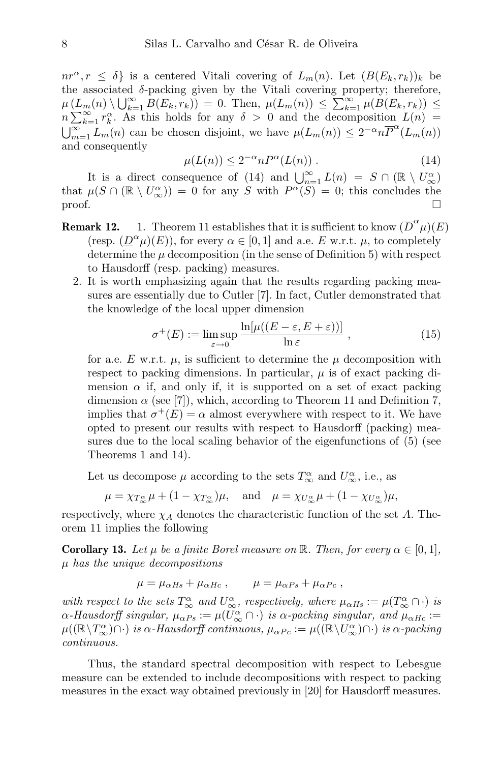$nr^{\alpha}, r \leq \delta$  is a centered Vitali covering of  $L_m(n)$ . Let  $(B(E_k, r_k))_k$  be the associated  $\delta$ -packing given by the Vitali covering property; therefore,  $\mu\left(\underline{L}_m(n)\setminus\bigcup_{k=1}^{\infty}B(E_k,r_k)\right) = 0.$  Then,  $\mu(L_m(n)) \leq \sum_{k=1}^{\infty}\mu(B(E_k,r_k)) \leq$  $n \sum_{k=1}^{\infty} r_k^{\alpha}$ . As this holds for any  $\delta > 0$  and the decomposition  $L(n) =$  $\bigcup_{m=1}^{\infty} L_m(n)$  can be chosen disjoint, we have  $\mu(L_m(n)) \leq 2^{-\alpha} n \overline{P}^{\alpha}(L_m(n))$ and consequently

$$
\mu(L(n)) \le 2^{-\alpha} n P^{\alpha}(L(n)) . \tag{14}
$$

It is a direct consequence of (14) and  $\bigcup_{n=1}^{\infty} L(n) = S \cap (\mathbb{R} \setminus U^{\alpha}_{\infty})$ that  $\mu(S \cap (\mathbb{R} \setminus U^{\alpha}_{\infty})) = 0$  for any S with  $P^{\alpha}(S) = 0$ ; this concludes the  $\Box$ 

- **Remark 12.** 1. Theorem 11 establishes that it is sufficient to know  $(\overline{D}^{\alpha}\mu)(E)$ (resp.  $(\underline{D}^{\alpha}\mu)(E)$ ), for every  $\alpha \in [0,1]$  and a.e. E w.r.t.  $\mu$ , to completely determine the  $\mu$  decomposition (in the sense of Definition 5) with respect to Hausdorff (resp. packing) measures.
	- 2. It is worth emphasizing again that the results regarding packing measures are essentially due to Cutler [7]. In fact, Cutler demonstrated that the knowledge of the local upper dimension

$$
\sigma^+(E) := \limsup_{\varepsilon \to 0} \frac{\ln[\mu((E - \varepsilon, E + \varepsilon))]}{\ln \varepsilon}, \qquad (15)
$$

for a.e. E w.r.t.  $\mu$ , is sufficient to determine the  $\mu$  decomposition with respect to packing dimensions. In particular,  $\mu$  is of exact packing dimension  $\alpha$  if, and only if, it is supported on a set of exact packing dimension  $\alpha$  (see [7]), which, according to Theorem 11 and Definition 7, implies that  $\sigma^+(E) = \alpha$  almost everywhere with respect to it. We have opted to present our results with respect to Hausdorff (packing) measures due to the local scaling behavior of the eigenfunctions of (5) (see Theorems 1 and 14).

Let us decompose  $\mu$  according to the sets  $T^{\alpha}_{\infty}$  and  $U^{\alpha}_{\infty}$ , i.e., as

$$
\mu = \chi_{T_{\infty}^{\alpha}} \mu + (1 - \chi_{T_{\infty}^{\alpha}}) \mu
$$
, and  $\mu = \chi_{U_{\infty}^{\alpha}} \mu + (1 - \chi_{U_{\infty}^{\alpha}}) \mu$ ,

respectively, where  $\chi_A$  denotes the characteristic function of the set A. Theorem 11 implies the following

**Corollary 13.** Let  $\mu$  be a finite Borel measure on  $\mathbb{R}$ . Then, for every  $\alpha \in [0,1]$ ,  $\mu$  has the unique decompositions

$$
\mu = \mu_{\alpha Hs} + \mu_{\alpha Hc} , \qquad \mu = \mu_{\alpha Ps} + \mu_{\alpha Pc} ,
$$

with respect to the sets  $T_{\infty}^{\alpha}$  and  $U_{\infty}^{\alpha}$ , respectively, where  $\mu_{\alpha Hs} := \mu(T_{\infty}^{\alpha} \cap \cdot)$  is  $\alpha$ -Hausdorff singular,  $\mu_{\alpha Ps} := \mu(U_{\infty}^{\alpha} \cap \cdot)$  is  $\alpha$ -packing singular, and  $\mu_{\alpha Hc} :=$  $\mu((\mathbb{R}\setminus T_\infty^{\alpha})\cap \cdot)$  is  $\alpha$ -Hausdorff continuous,  $\mu_{\alpha Pc} := \mu((\mathbb{R}\setminus U_\infty^{\alpha})\cap \cdot)$  is  $\alpha$ -packing continuous.

Thus, the standard spectral decomposition with respect to Lebesgue measure can be extended to include decompositions with respect to packing measures in the exact way obtained previously in [20] for Hausdorff measures.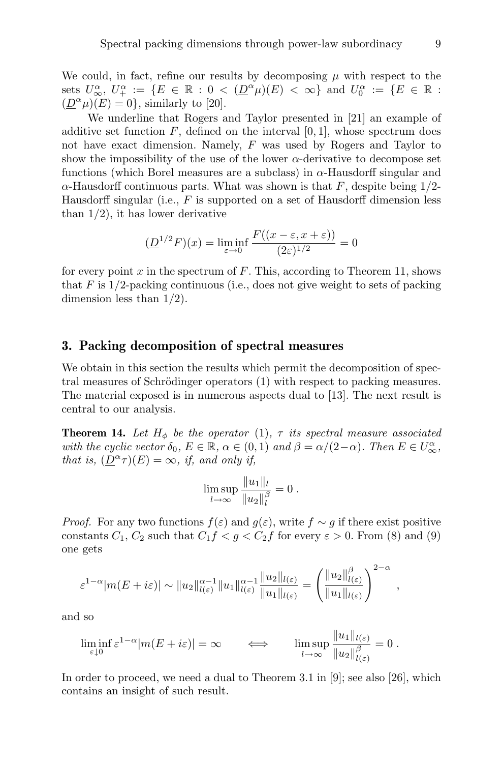We could, in fact, refine our results by decomposing  $\mu$  with respect to the sets  $U^{\alpha}_{\infty}$ ,  $U^{\alpha}_{+} := \{ E \in \mathbb{R} : 0 < (\underline{D}^{\alpha} \mu)(E) < \infty \}$  and  $U^{\alpha}_{0} := \{ E \in \mathbb{R} : 0 \le \mu \}$  $(\underline{D}^{\alpha}\mu)(E) = 0$ , similarly to [20].

We underline that Rogers and Taylor presented in [21] an example of additive set function  $F$ , defined on the interval  $[0, 1]$ , whose spectrum does not have exact dimension. Namely, F was used by Rogers and Taylor to show the impossibility of the use of the lower  $\alpha$ -derivative to decompose set functions (which Borel measures are a subclass) in  $\alpha$ -Hausdorff singular and  $\alpha$ -Hausdorff continuous parts. What was shown is that F, despite being 1/2-Hausdorff singular (i.e.,  $F$  is supported on a set of Hausdorff dimension less than  $1/2$ , it has lower derivative

$$
(\underline{D}^{1/2}F)(x) = \liminf_{\varepsilon \to 0} \frac{F((x - \varepsilon, x + \varepsilon))}{(2\varepsilon)^{1/2}} = 0
$$

for every point  $x$  in the spectrum of  $F$ . This, according to Theorem 11, shows that  $F$  is  $1/2$ -packing continuous (i.e., does not give weight to sets of packing dimension less than 1/2).

#### 3. Packing decomposition of spectral measures

We obtain in this section the results which permit the decomposition of spectral measures of Schrödinger operators  $(1)$  with respect to packing measures. The material exposed is in numerous aspects dual to [13]. The next result is central to our analysis.

**Theorem 14.** Let  $H_{\phi}$  be the operator (1),  $\tau$  its spectral measure associated with the cyclic vector  $\delta_0$ ,  $E \in \mathbb{R}$ ,  $\alpha \in (0,1)$  and  $\beta = \alpha/(2-\alpha)$ . Then  $E \in U^{\alpha}_{\infty}$ , that is,  $(\underline{D}^{\alpha} \tau)(E) = \infty$ , if, and only if,

$$
\limsup_{l \to \infty} \frac{\|u_1\|_l}{\|u_2\|_l^{\beta}} = 0.
$$

*Proof.* For any two functions  $f(\varepsilon)$  and  $g(\varepsilon)$ , write  $f \sim g$  if there exist positive constants  $C_1$ ,  $C_2$  such that  $C_1 f < g < C_2 f$  for every  $\varepsilon > 0$ . From (8) and (9) one gets

$$
\varepsilon^{1-\alpha}|m(E+i\varepsilon)| \sim \|u_2\|_{l(\varepsilon)}^{\alpha-1} \|u_1\|_{l(\varepsilon)}^{\alpha-1} \frac{\|u_2\|_{l(\varepsilon)}}{\|u_1\|_{l(\varepsilon)}} = \left(\frac{\|u_2\|_{l(\varepsilon)}^{\beta}}{\|u_1\|_{l(\varepsilon)}}\right)^{2-\alpha},
$$

and so

$$
\liminf_{\varepsilon \downarrow 0} \varepsilon^{1-\alpha} |m(E + i\varepsilon)| = \infty \qquad \Longleftrightarrow \qquad \limsup_{l \to \infty} \frac{\|u_1\|_{l(\varepsilon)}}{\|u_2\|_{l(\varepsilon)}^{\beta}} = 0.
$$

In order to proceed, we need a dual to Theorem 3.1 in  $[9]$ ; see also  $[26]$ , which contains an insight of such result.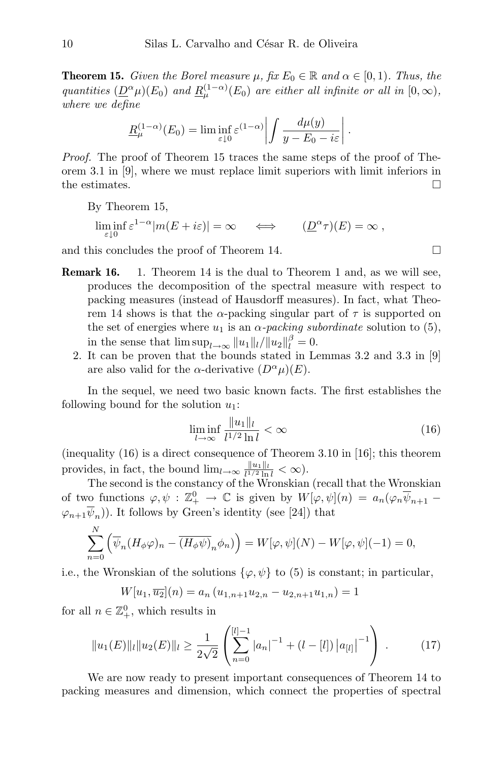**Theorem 15.** Given the Borel measure  $\mu$ , fix  $E_0 \in \mathbb{R}$  and  $\alpha \in [0,1)$ . Thus, the quantities  $(\underline{D}^{\alpha}\mu)(E_0)$  and  $\underline{R}^{(1-\alpha)}_{\mu}(E_0)$  are either all infinite or all in  $[0,\infty)$ , where we define

$$
\underline{R}_{\mu}^{(1-\alpha)}(E_0) = \liminf_{\varepsilon \downarrow 0} \varepsilon^{(1-\alpha)} \left| \int \frac{d\mu(y)}{y - E_0 - i\varepsilon} \right|.
$$

Proof. The proof of Theorem 15 traces the same steps of the proof of Theorem 3.1 in [9], where we must replace limit superiors with limit inferiors in the estimates.  $\square$ 

By Theorem 15,  
\n
$$
\liminf_{\varepsilon \downarrow 0} \varepsilon^{1-\alpha} |m(E + i\varepsilon)| = \infty \quad \Longleftrightarrow \quad (\underline{D}^{\alpha} \tau)(E) = \infty ,
$$

and this concludes the proof of Theorem 14.

- Remark 16. 1. Theorem 14 is the dual to Theorem 1 and, as we will see, produces the decomposition of the spectral measure with respect to packing measures (instead of Hausdorff measures). In fact, what Theorem 14 shows is that the  $\alpha$ -packing singular part of  $\tau$  is supported on the set of energies where  $u_1$  is an  $\alpha$ -packing subordinate solution to (5), in the sense that  $\limsup_{l\to\infty} ||u_1||_l/||u_2||_l^{\beta} = 0.$ 
	- 2. It can be proven that the bounds stated in Lemmas 3.2 and 3.3 in [9] are also valid for the  $\alpha$ -derivative  $(D^{\alpha}\mu)(E)$ .

In the sequel, we need two basic known facts. The first establishes the following bound for the solution  $u_1$ :

$$
\liminf_{l \to \infty} \frac{\|u_1\|_l}{l^{1/2} \ln l} < \infty \tag{16}
$$

(inequality (16) is a direct consequence of Theorem 3.10 in [16]; this theorem provides, in fact, the bound  $\lim_{l\to\infty} \frac{\|u_1\|_l}{l^{1/2}\ln l}$  $\frac{\|u_1\|_l}{l^{1/2}\ln l}<\infty$ ).

The second is the constancy of the Wronskian (recall that the Wronskian of two functions  $\varphi, \psi : \mathbb{Z}_+^0 \to \mathbb{C}$  is given by  $W[\varphi, \psi](n) = a_n(\varphi_n \overline{\psi}_{n+1} - \psi_n)$  $(\varphi_{n+1}\overline{\psi}_n)$ . It follows by Green's identity (see [24]) that

$$
\sum_{n=0}^{N} \left( \overline{\psi}_n (H_{\phi} \varphi)_n - \overline{(H_{\phi} \psi)_n} \phi_n) \right) = W[\varphi, \psi](N) - W[\varphi, \psi](-1) = 0,
$$

i.e., the Wronskian of the solutions  $\{\varphi, \psi\}$  to (5) is constant; in particular,

$$
W[u_1, \overline{u_2}](n) = a_n (u_{1,n+1}u_{2,n} - u_{2,n+1}u_{1,n}) = 1
$$

for all  $n \in \mathbb{Z}_+^0$ , which results in

$$
||u_1(E)||_l ||u_2(E)||_l \ge \frac{1}{2\sqrt{2}} \left( \sum_{n=0}^{[l]-1} |a_n|^{-1} + (l - [l]) |a_{[l]}|^{-1} \right) . \tag{17}
$$

We are now ready to present important consequences of Theorem 14 to packing measures and dimension, which connect the properties of spectral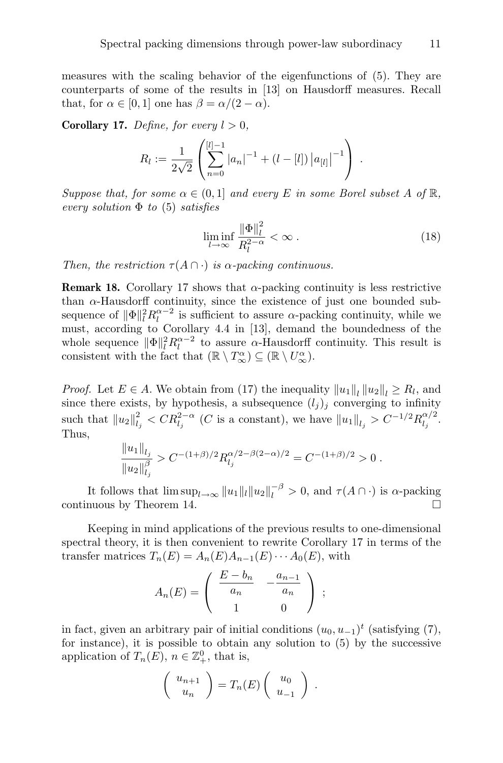measures with the scaling behavior of the eigenfunctions of (5). They are counterparts of some of the results in [13] on Hausdorff measures. Recall that, for  $\alpha \in [0, 1]$  one has  $\beta = \alpha/(2 - \alpha)$ .

**Corollary 17.** Define, for every  $l > 0$ ,

$$
R_l := \frac{1}{2\sqrt{2}} \left( \sum_{n=0}^{[l]-1} |a_n|^{-1} + (l-[l]) |a_{[l]}|^{-1} \right) .
$$

Suppose that, for some  $\alpha \in (0,1]$  and every E in some Borel subset A of  $\mathbb{R}$ , every solution  $\Phi$  to (5) satisfies

$$
\liminf_{l \to \infty} \frac{\|\Phi\|_{l}^2}{R_l^{2-\alpha}} < \infty \tag{18}
$$

Then, the restriction  $\tau(A \cap \cdot)$  is  $\alpha$ -packing continuous.

**Remark 18.** Corollary 17 shows that  $\alpha$ -packing continuity is less restrictive than  $\alpha$ -Hausdorff continuity, since the existence of just one bounded subsequence of  $\|\Phi\|_{l}^{2} R_{l}^{\alpha-2}$  is sufficient to assure  $\alpha$ -packing continuity, while we must, according to Corollary 4.4 in [13], demand the boundedness of the whole sequence  $\|\Phi\|_{l}^{2} R_{l}^{\alpha-2}$  to assure  $\alpha$ -Hausdorff continuity. This result is consistent with the fact that  $(\mathbb{R} \setminus T_{\infty}^{\alpha}) \subseteq (\mathbb{R} \setminus U_{\infty}^{\alpha})$ .

*Proof.* Let  $E \in A$ . We obtain from (17) the inequality  $||u_1||_l ||u_2||_l \ge R_l$ , and since there exists, by hypothesis, a subsequence  $(l_j)_j$  converging to infinity such that  $||u_2||_{l_j}^2 < CR_{l_j}^{2-\alpha}$  (*C* is a constant), we have  $||u_1||_{l_j} > C^{-1/2}R_{l_j}^{\alpha/2}$  $\frac{\alpha}{l_j}$ . Thus,

$$
\frac{\|u_1\|_{l_j}}{\|u_2\|_{l_j}^{\beta}} > C^{-(1+\beta)/2} R_{l_j}^{\alpha/2-\beta(2-\alpha)/2} = C^{-(1+\beta)/2} > 0.
$$

It follows that  $\limsup_{l\to\infty} ||u_1||_l ||u_2||_l^{-\beta} > 0$ , and  $\tau(A \cap \cdot)$  is  $\alpha$ -packing continuous by Theorem 14.

Keeping in mind applications of the previous results to one-dimensional spectral theory, it is then convenient to rewrite Corollary 17 in terms of the transfer matrices  $T_n(E) = A_n(E)A_{n-1}(E) \cdots A_0(E)$ , with

$$
A_n(E) = \begin{pmatrix} E - b_n & -\frac{a_{n-1}}{a_n} \\ 1 & 0 \end{pmatrix} ;
$$

in fact, given an arbitrary pair of initial conditions  $(u_0, u_{-1})^t$  (satisfying (7), for instance), it is possible to obtain any solution to (5) by the successive application of  $T_n(E)$ ,  $n \in \mathbb{Z}_+^0$ , that is,

$$
\left(\begin{array}{c} u_{n+1} \\ u_n \end{array}\right) = T_n(E) \left(\begin{array}{c} u_0 \\ u_{-1} \end{array}\right) .
$$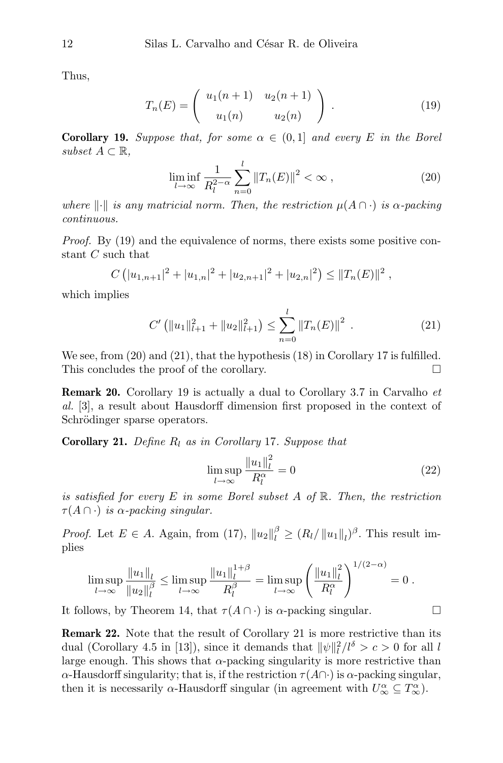Thus,

$$
T_n(E) = \begin{pmatrix} u_1(n+1) & u_2(n+1) \\ u_1(n) & u_2(n) \end{pmatrix} . \tag{19}
$$

**Corollary 19.** Suppose that, for some  $\alpha \in (0,1]$  and every E in the Borel subset  $A \subset \mathbb{R}$ ,

$$
\liminf_{l \to \infty} \frac{1}{R_l^{2-\alpha}} \sum_{n=0}^l \|T_n(E)\|^2 < \infty \,, \tag{20}
$$

where  $\Vert \cdot \Vert$  is any matricial norm. Then, the restriction  $\mu(A \cap \cdot)$  is  $\alpha$ -packing continuous.

Proof. By (19) and the equivalence of norms, there exists some positive constant  $C$  such that

$$
C\left(|u_{1,n+1}|^2+|u_{1,n}|^2+|u_{2,n+1}|^2+|u_{2,n}|^2\right)\leq ||T_n(E)||^2,
$$

which implies

$$
C'\left(\|u_1\|_{l+1}^2 + \|u_2\|_{l+1}^2\right) \le \sum_{n=0}^l \|T_n(E)\|^2 \ . \tag{21}
$$

We see, from  $(20)$  and  $(21)$ , that the hypothesis  $(18)$  in Corollary 17 is fulfilled. This concludes the proof of the corollary.

**Remark 20.** Corollary 19 is actually a dual to Corollary 3.7 in Carvalho  $et$ al. [3], a result about Hausdorff dimension first proposed in the context of Schrödinger sparse operators.

**Corollary 21.** Define  $R_l$  as in Corollary 17. Suppose that

$$
\limsup_{l \to \infty} \frac{\left\|u_1\right\|_l^2}{R_l^{\alpha}} = 0\tag{22}
$$

is satisfied for every E in some Borel subset A of  $\mathbb R$ . Then, the restriction  $\tau(A \cap \cdot)$  is  $\alpha$ -packing singular.

*Proof.* Let  $E \in A$ . Again, from (17),  $||u_2||_l^{\beta} \geq (R_l/||u_1||_l)^{\beta}$ . This result implies

$$
\limsup_{l \to \infty} \frac{\|u_1\|_l}{\|u_2\|_l^{\beta}} \le \limsup_{l \to \infty} \frac{\|u_1\|_l^{1+\beta}}{R_l^{\beta}} = \limsup_{l \to \infty} \left(\frac{\|u_1\|_l^2}{R_l^{\alpha}}\right)^{1/(2-\alpha)} = 0.
$$

It follows, by Theorem 14, that  $\tau(A \cap \cdot)$  is  $\alpha$ -packing singular.

Remark 22. Note that the result of Corollary 21 is more restrictive than its dual (Corollary 4.5 in [13]), since it demands that  $\|\psi\|_{l}^{2}/l^{\delta} > c > 0$  for all l large enough. This shows that  $\alpha$ -packing singularity is more restrictive than  $\alpha$ -Hausdorff singularity; that is, if the restriction  $\tau(A\cap \cdot)$  is  $\alpha$ -packing singular, then it is necessarily  $\alpha$ -Hausdorff singular (in agreement with  $U^{\alpha}_{\infty} \subseteq T^{\alpha}_{\infty}$ ).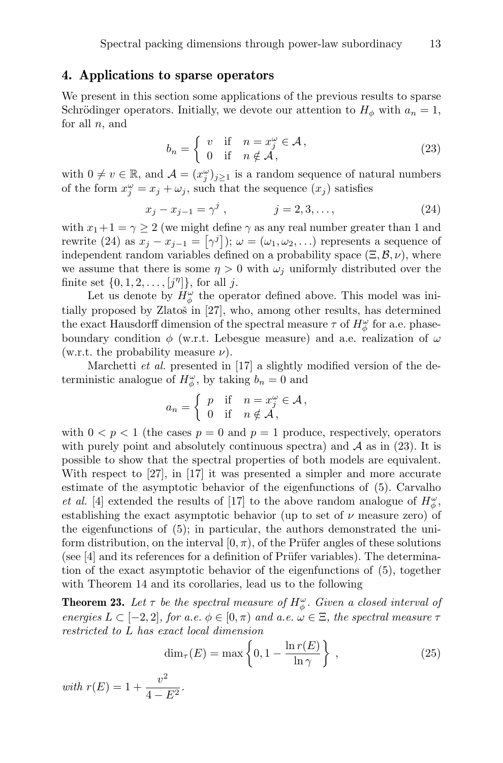#### 4. Applications to sparse operators

We present in this section some applications of the previous results to sparse Schrödinger operators. Initially, we devote our attention to  $H_{\phi}$  with  $a_n = 1$ , for all  $n$ , and

$$
b_n = \begin{cases} v & \text{if } n = x_j^{\omega} \in \mathcal{A}, \\ 0 & \text{if } n \notin \mathcal{A}, \end{cases}
$$
 (23)

with  $0 \neq v \in \mathbb{R}$ , and  $\mathcal{A} = (x_j^{\omega})_{j \geq 1}$  is a random sequence of natural numbers of the form  $x_j^{\omega} = x_j + \omega_j$ , such that the sequence  $(x_j)$  satisfies

$$
x_j - x_{j-1} = \gamma^j , \qquad j = 2, 3, \dots, \qquad (24)
$$

with  $x_1+1=\gamma\geq 2$  (we might define  $\gamma$  as any real number greater than 1 and rewrite (24) as  $x_j - x_{j-1} = [\gamma^j]$ );  $\omega = (\omega_1, \omega_2, \ldots)$  represents a sequence of independent random variables defined on a probability space  $(\Xi, \mathcal{B}, \nu)$ , where we assume that there is some  $\eta > 0$  with  $\omega_i$  uniformly distributed over the finite set  $\{0, 1, 2, \ldots, [j^n]\},$  for all j.

Let us denote by  $H_{\phi}^{\omega}$  the operator defined above. This model was initially proposed by Zlatoš in  $[27]$ , who, among other results, has determined the exact Hausdorff dimension of the spectral measure  $\tau$  of  $H_{\phi}^{\omega}$  for a.e. phaseboundary condition  $\phi$  (w.r.t. Lebesgue measure) and a.e. realization of  $\omega$ (w.r.t. the probability measure  $\nu$ ).

Marchetti *et al.* presented in [17] a slightly modified version of the deterministic analogue of  $H_{\phi}^{\omega}$ , by taking  $b_n = 0$  and

$$
a_n = \begin{cases} p & \text{if } n = x_j^{\omega} \in \mathcal{A}, \\ 0 & \text{if } n \notin \mathcal{A}, \end{cases}
$$

with  $0 < p < 1$  (the cases  $p = 0$  and  $p = 1$  produce, respectively, operators with purely point and absolutely continuous spectra) and  $A$  as in (23). It is possible to show that the spectral properties of both models are equivalent. With respect to [27], in [17] it was presented a simpler and more accurate estimate of the asymptotic behavior of the eigenfunctions of (5). Carvalho *et al.* [4] extended the results of [17] to the above random analogue of  $H^{\omega}_{\phi}$ , establishing the exact asymptotic behavior (up to set of  $\nu$  measure zero) of the eigenfunctions of (5); in particular, the authors demonstrated the uniform distribution, on the interval  $[0, \pi)$ , of the Prüfer angles of these solutions (see  $[4]$  and its references for a definition of Prüfer variables). The determination of the exact asymptotic behavior of the eigenfunctions of (5), together with Theorem 14 and its corollaries, lead us to the following

**Theorem 23.** Let  $\tau$  be the spectral measure of  $H^{\omega}_{\phi}$ . Given a closed interval of energies  $L \subset [-2,2]$ , for a.e.  $\phi \in [0,\pi)$  and a.e.  $\omega \in \Xi$ , the spectral measure  $\tau$ restricted to L has exact local dimension

$$
\dim_{\tau}(E) = \max\left\{0, 1 - \frac{\ln r(E)}{\ln \gamma}\right\},\qquad(25)
$$

with  $r(E) = 1 + \frac{v^2}{4}$  $\frac{6}{4-E^2}$ .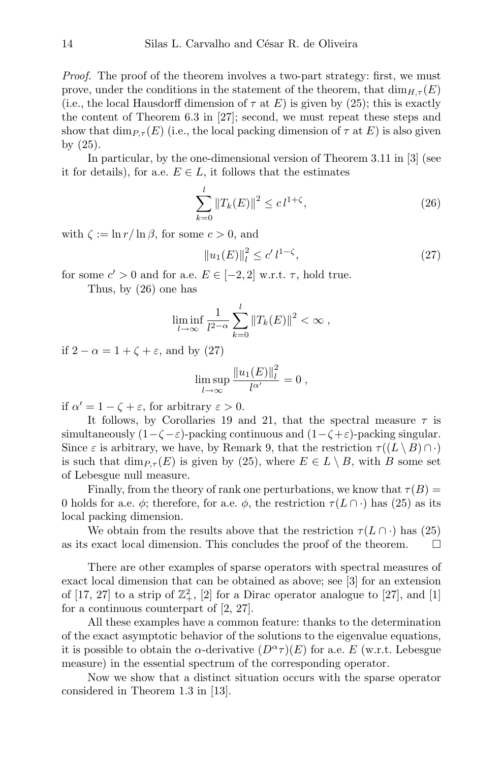Proof. The proof of the theorem involves a two-part strategy: first, we must prove, under the conditions in the statement of the theorem, that  $\dim_{H,\tau}(E)$ (i.e., the local Hausdorff dimension of  $\tau$  at E) is given by (25); this is exactly the content of Theorem 6.3 in [27]; second, we must repeat these steps and show that  $\dim_{P,\tau}(E)$  (i.e., the local packing dimension of  $\tau$  at E) is also given by (25).

In particular, by the one-dimensional version of Theorem 3.11 in [3] (see it for details), for a.e.  $E \in L$ , it follows that the estimates

$$
\sum_{k=0}^{l} \|T_k(E)\|^2 \le c \, l^{1+\zeta},\tag{26}
$$

with  $\zeta := \ln r / \ln \beta$ , for some  $c > 0$ , and

$$
||u_1(E)||_l^2 \le c' l^{1-\zeta},\tag{27}
$$

for some  $c' > 0$  and for a.e.  $E \in [-2, 2]$  w.r.t.  $\tau$ , hold true.

Thus, by (26) one has

$$
\liminf_{l\to\infty}\frac{1}{l^{2-\alpha}}\sum_{k=0}^l\|T_k(E)\|^2<\infty,
$$

if  $2 - \alpha = 1 + \zeta + \varepsilon$ , and by (27)

$$
\limsup_{l \to \infty} \frac{\|u_1(E)\|_{l}^2}{l^{\alpha'}} = 0,
$$

if  $\alpha' = 1 - \zeta + \varepsilon$ , for arbitrary  $\varepsilon > 0$ .

It follows, by Corollaries 19 and 21, that the spectral measure  $\tau$  is simultaneously  $(1-\zeta-\varepsilon)$ -packing continuous and  $(1-\zeta+\varepsilon)$ -packing singular. Since  $\varepsilon$  is arbitrary, we have, by Remark 9, that the restriction  $\tau((L \setminus B) \cap \cdot)$ is such that  $\dim_{P,\tau}(E)$  is given by (25), where  $E \in L \setminus B$ , with B some set of Lebesgue null measure.

Finally, from the theory of rank one perturbations, we know that  $\tau(B)$  = 0 holds for a.e.  $\phi$ ; therefore, for a.e.  $\phi$ , the restriction  $\tau(L \cap \cdot)$  has (25) as its local packing dimension.

We obtain from the results above that the restriction  $\tau(L \cap \cdot)$  has (25) as its exact local dimension. This concludes the proof of the theorem.  $\Box$ 

There are other examples of sparse operators with spectral measures of exact local dimension that can be obtained as above; see [3] for an extension of [17, 27] to a strip of  $\mathbb{Z}_+^2$ , [2] for a Dirac operator analogue to [27], and [1] for a continuous counterpart of [2, 27].

All these examples have a common feature: thanks to the determination of the exact asymptotic behavior of the solutions to the eigenvalue equations, it is possible to obtain the  $\alpha$ -derivative  $(D^{\alpha}\tau)(E)$  for a.e. E (w.r.t. Lebesgue measure) in the essential spectrum of the corresponding operator.

Now we show that a distinct situation occurs with the sparse operator considered in Theorem 1.3 in [13].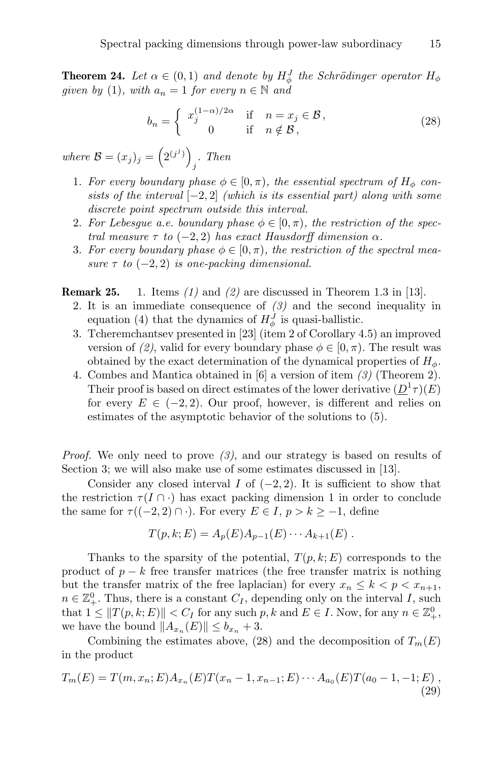**Theorem 24.** Let  $\alpha \in (0,1)$  and denote by  $H_{\phi}^{J}$  the Schrödinger operator  $H_{\phi}$ given by (1), with  $a_n = 1$  for every  $n \in \mathbb{N}$  and

$$
b_n = \begin{cases} x_j^{(1-\alpha)/2\alpha} & \text{if } n = x_j \in \mathcal{B}, \\ 0 & \text{if } n \notin \mathcal{B}, \end{cases}
$$
 (28)

where  $\mathcal{B}=(x_j)_j=\left(2^{(j^j)}\right)^j$ j . Then

- 1. For every boundary phase  $\phi \in [0, \pi)$ , the essential spectrum of  $H_{\phi}$  consists of the interval  $[-2, 2]$  (which is its essential part) along with some discrete point spectrum outside this interval.
- 2. For Lebesque a.e. boundary phase  $\phi \in [0, \pi)$ , the restriction of the spectral measure  $\tau$  to (-2, 2) has exact Hausdorff dimension  $\alpha$ .
- 3. For every boundary phase  $\phi \in [0, \pi)$ , the restriction of the spectral measure  $\tau$  to  $(-2, 2)$  is one-packing dimensional.

**Remark 25.** 1. Items  $(1)$  and  $(2)$  are discussed in Theorem 1.3 in [13].

- 2. It is an immediate consequence of  $(3)$  and the second inequality in equation (4) that the dynamics of  $H_{\phi}^{J}$  is quasi-ballistic.
- 3. Tcheremchantsev presented in [23] (item 2 of Corollary 4.5) an improved version of (2), valid for every boundary phase  $\phi \in [0, \pi)$ . The result was obtained by the exact determination of the dynamical properties of  $H_{\phi}$ .
- 4. Combes and Mantica obtained in [6] a version of item (3) (Theorem 2). Their proof is based on direct estimates of the lower derivative  $(\underline{D}^1 \tau)(E)$ for every  $E \in (-2, 2)$ . Our proof, however, is different and relies on estimates of the asymptotic behavior of the solutions to (5).

*Proof.* We only need to prove  $(3)$ , and our strategy is based on results of Section 3; we will also make use of some estimates discussed in [13].

Consider any closed interval I of  $(-2, 2)$ . It is sufficient to show that the restriction  $\tau(I \cap \cdot)$  has exact packing dimension 1 in order to conclude the same for  $\tau((-2,2)\cap \cdot)$ . For every  $E\in I, p > k \geq -1$ , define

$$
T(p, k; E) = A_p(E) A_{p-1}(E) \cdots A_{k+1}(E) .
$$

Thanks to the sparsity of the potential,  $T(p, k; E)$  corresponds to the product of  $p - k$  free transfer matrices (the free transfer matrix is nothing but the transfer matrix of the free laplacian) for every  $x_n \leq k < p < x_{n+1}$ ,  $n \in \mathbb{Z}_+^0$ . Thus, there is a constant  $C_I$ , depending only on the interval I, such that  $1 \leq ||T(p, k; E)|| < C_I$  for any such  $p, k$  and  $E \in I$ . Now, for any  $n \in \mathbb{Z}_+^0$ , we have the bound  $||A_{x_n}(E)|| \le b_{x_n} + 3$ .

Combining the estimates above, (28) and the decomposition of  $T_m(E)$ in the product

$$
T_m(E) = T(m, x_n; E) A_{x_n}(E) T(x_n - 1, x_{n-1}; E) \cdots A_{a_0}(E) T(a_0 - 1, -1; E),
$$
\n(29)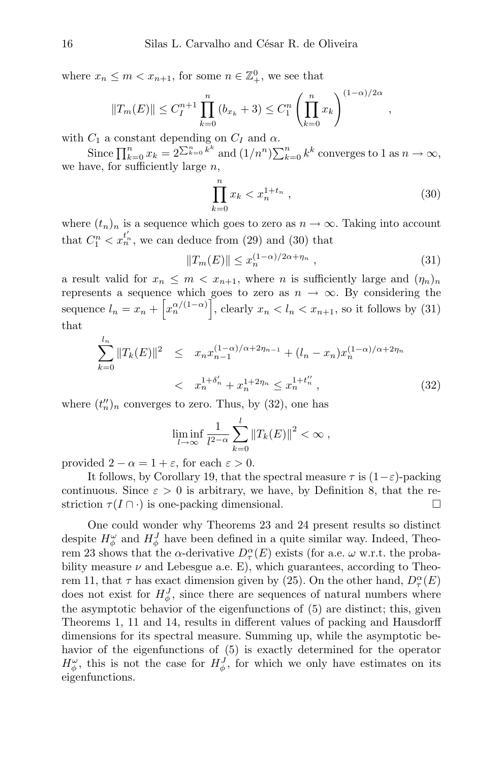where  $x_n \leq m < x_{n+1}$ , for some  $n \in \mathbb{Z}_+^0$ , we see that

$$
||T_m(E)|| \leq C_I^{n+1} \prod_{k=0}^n (b_{x_k} + 3) \leq C_I^n \left( \prod_{k=0}^n x_k \right)^{(1-\alpha)/2\alpha},
$$

with  $C_1$  a constant depending on  $C_I$  and  $\alpha$ .

Since  $\prod_{k=0}^{n} x_k = 2^{\sum_{k=0}^{n} k^k}$  and  $(1/n^n) \sum_{k=0}^{n} k^k$  converges to 1 as  $n \to \infty$ , we have, for sufficiently large  $n$ ,

$$
\prod_{k=0}^{n} x_k < x_n^{1+t_n} \tag{30}
$$

where  $(t_n)_n$  is a sequence which goes to zero as  $n \to \infty$ . Taking into account that  $C_1^n < x_n^{t'_n}$ , we can deduce from (29) and (30) that

$$
||T_m(E)|| \le x_n^{(1-\alpha)/2\alpha + \eta_n}, \qquad (31)
$$

a result valid for  $x_n \n\t\leq m \n\t\leq x_{n+1}$ , where *n* is sufficiently large and  $(\eta_n)_n$ represents a sequence which goes to zero as  $n \to \infty$ . By considering the sequence  $l_n = x_n + \left[x_n^{\alpha/(1-\alpha)}\right]$ , clearly  $x_n < l_n < x_{n+1}$ , so it follows by (31) that

$$
\sum_{k=0}^{l_n} \|T_k(E)\|^2 \leq x_n x_{n-1}^{(1-\alpha)/\alpha+2\eta_{n-1}} + (l_n - x_n) x_n^{(1-\alpha)/\alpha+2\eta_n}
$$
  

$$
< x_n^{1+\delta'_n} + x_n^{1+2\eta_n} \leq x_n^{1+t''_n}, \qquad (32)
$$

where  $(t''_n)_n$  converges to zero. Thus, by (32), one has

$$
\liminf_{l \to \infty} \frac{1}{l^{2-\alpha}} \sum_{k=0}^l ||T_k(E)||^2 < \infty \,,
$$

provided  $2 - \alpha = 1 + \varepsilon$ , for each  $\varepsilon > 0$ .

It follows, by Corollary 19, that the spectral measure  $\tau$  is  $(1-\varepsilon)$ -packing continuous. Since  $\varepsilon > 0$  is arbitrary, we have, by Definition 8, that the restriction  $\tau(I \cap \cdot)$  is one-packing dimensional.

One could wonder why Theorems 23 and 24 present results so distinct despite  $H_{\phi}^{\omega}$  and  $H_{\phi}^{J}$  have been defined in a quite similar way. Indeed, Theorem 23 shows that the  $\alpha$ -derivative  $D_{\tau}^{\alpha}(E)$  exists (for a.e.  $\omega$  w.r.t. the probability measure  $\nu$  and Lebesgue a.e. E), which guarantees, according to Theorem 11, that  $\tau$  has exact dimension given by (25). On the other hand,  $D_{\tau}^{\alpha}(E)$ does not exist for  $H_{\phi}^{J}$ , since there are sequences of natural numbers where the asymptotic behavior of the eigenfunctions of (5) are distinct; this, given Theorems 1, 11 and 14, results in different values of packing and Hausdorff dimensions for its spectral measure. Summing up, while the asymptotic behavior of the eigenfunctions of (5) is exactly determined for the operator  $H_{\phi}^{\omega}$ , this is not the case for  $H_{\phi}^{J}$ , for which we only have estimates on its eigenfunctions.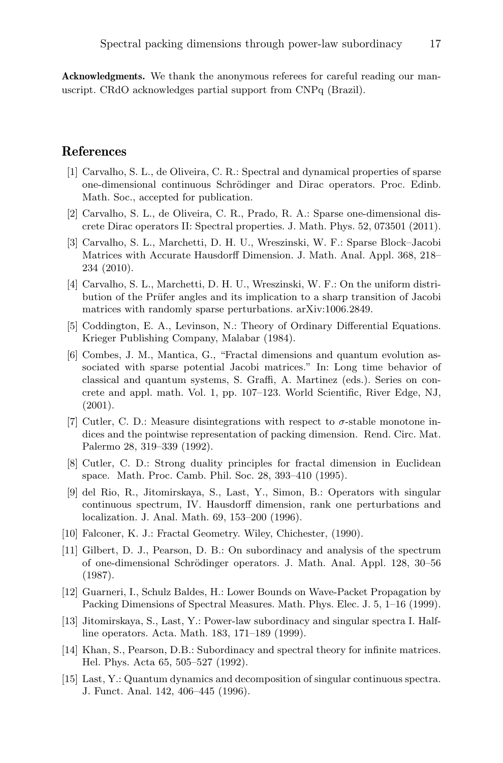Acknowledgments. We thank the anonymous referees for careful reading our manuscript. CRdO acknowledges partial support from CNPq (Brazil).

## References

- [1] Carvalho, S. L., de Oliveira, C. R.: Spectral and dynamical properties of sparse one-dimensional continuous Schrödinger and Dirac operators. Proc. Edinb. Math. Soc., accepted for publication.
- [2] Carvalho, S. L., de Oliveira, C. R., Prado, R. A.: Sparse one-dimensional discrete Dirac operators II: Spectral properties. J. Math. Phys. 52, 073501 (2011).
- [3] Carvalho, S. L., Marchetti, D. H. U., Wreszinski, W. F.: Sparse Block–Jacobi Matrices with Accurate Hausdorff Dimension. J. Math. Anal. Appl. 368, 218– 234 (2010).
- [4] Carvalho, S. L., Marchetti, D. H. U., Wreszinski, W. F.: On the uniform distribution of the Prüfer angles and its implication to a sharp transition of Jacobi matrices with randomly sparse perturbations. arXiv:1006.2849.
- [5] Coddington, E. A., Levinson, N.: Theory of Ordinary Differential Equations. Krieger Publishing Company, Malabar (1984).
- [6] Combes, J. M., Mantica, G., "Fractal dimensions and quantum evolution associated with sparse potential Jacobi matrices." In: Long time behavior of classical and quantum systems, S. Graffi, A. Martinez (eds.). Series on concrete and appl. math. Vol. 1, pp. 107–123. World Scientific, River Edge, NJ, (2001).
- [7] Cutler, C. D.: Measure disintegrations with respect to σ-stable monotone indices and the pointwise representation of packing dimension. Rend. Circ. Mat. Palermo 28, 319–339 (1992).
- [8] Cutler, C. D.: Strong duality principles for fractal dimension in Euclidean space. Math. Proc. Camb. Phil. Soc. 28, 393–410 (1995).
- [9] del Rio, R., Jitomirskaya, S., Last, Y., Simon, B.: Operators with singular continuous spectrum, IV. Hausdorff dimension, rank one perturbations and localization. J. Anal. Math. 69, 153–200 (1996).
- [10] Falconer, K. J.: Fractal Geometry. Wiley, Chichester, (1990).
- [11] Gilbert, D. J., Pearson, D. B.: On subordinacy and analysis of the spectrum of one-dimensional Schrödinger operators. J. Math. Anal. Appl. 128, 30–56 (1987).
- [12] Guarneri, I., Schulz Baldes, H.: Lower Bounds on Wave-Packet Propagation by Packing Dimensions of Spectral Measures. Math. Phys. Elec. J. 5, 1–16 (1999).
- [13] Jitomirskaya, S., Last, Y.: Power-law subordinacy and singular spectra I. Halfline operators. Acta. Math. 183, 171–189 (1999).
- [14] Khan, S., Pearson, D.B.: Subordinacy and spectral theory for infinite matrices. Hel. Phys. Acta 65, 505–527 (1992).
- [15] Last, Y.: Quantum dynamics and decomposition of singular continuous spectra. J. Funct. Anal. 142, 406–445 (1996).